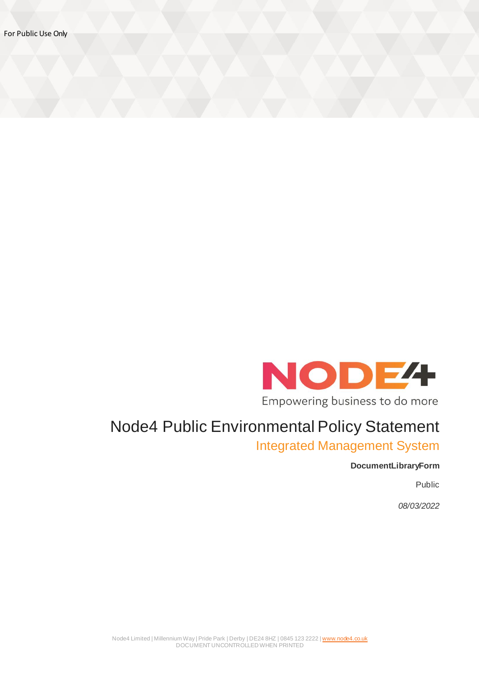

## Node4 Public Environmental Policy Statement

Integrated Management System

## **DocumentLibraryForm**

Public

*08/03/2022*